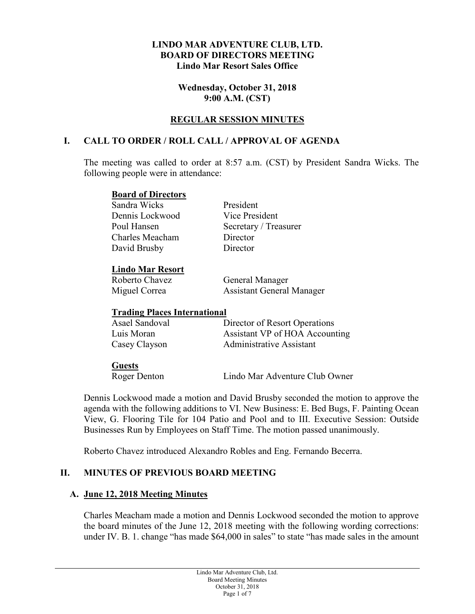#### **LINDO MAR ADVENTURE CLUB, LTD. BOARD OF DIRECTORS MEETING Lindo Mar Resort Sales Office**

**Wednesday, October 31, 2018 9:00 A.M. (CST)**

## **REGULAR SESSION MINUTES**

## **I. CALL TO ORDER / ROLL CALL / APPROVAL OF AGENDA**

The meeting was called to order at 8:57 a.m. (CST) by President Sandra Wicks. The following people were in attendance:

#### **Board of Directors**

Sandra Wicks President Dennis Lockwood Vice President Charles Meacham Director David Brusby Director

Poul Hansen Secretary / Treasurer

### **Lindo Mar Resort**

Roberto Chavez General Manager Miguel Correa Assistant General Manager

### **Trading Places International**

| Asael Sandoval | Director of Resort Operations  |
|----------------|--------------------------------|
| Luis Moran     | Assistant VP of HOA Accounting |
| Casey Clayson  | Administrative Assistant       |

### **Guests**

Roger Denton Lindo Mar Adventure Club Owner

Dennis Lockwood made a motion and David Brusby seconded the motion to approve the agenda with the following additions to VI. New Business: E. Bed Bugs, F. Painting Ocean View, G. Flooring Tile for 104 Patio and Pool and to III. Executive Session: Outside Businesses Run by Employees on Staff Time. The motion passed unanimously.

Roberto Chavez introduced Alexandro Robles and Eng. Fernando Becerra.

# **II. MINUTES OF PREVIOUS BOARD MEETING**

# **A. June 12, 2018 Meeting Minutes**

Charles Meacham made a motion and Dennis Lockwood seconded the motion to approve the board minutes of the June 12, 2018 meeting with the following wording corrections: under IV. B. 1. change "has made \$64,000 in sales" to state "has made sales in the amount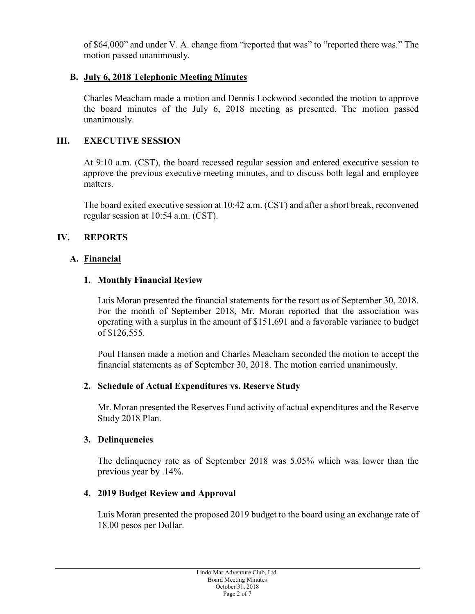of \$64,000" and under V. A. change from "reported that was" to "reported there was." The motion passed unanimously.

## **B. July 6, 2018 Telephonic Meeting Minutes**

Charles Meacham made a motion and Dennis Lockwood seconded the motion to approve the board minutes of the July 6, 2018 meeting as presented. The motion passed unanimously.

## **III. EXECUTIVE SESSION**

At 9:10 a.m. (CST), the board recessed regular session and entered executive session to approve the previous executive meeting minutes, and to discuss both legal and employee matters.

The board exited executive session at 10:42 a.m. (CST) and after a short break, reconvened regular session at 10:54 a.m. (CST).

# **IV. REPORTS**

## **A. Financial**

## **1. Monthly Financial Review**

Luis Moran presented the financial statements for the resort as of September 30, 2018. For the month of September 2018, Mr. Moran reported that the association was operating with a surplus in the amount of \$151,691 and a favorable variance to budget of \$126,555.

Poul Hansen made a motion and Charles Meacham seconded the motion to accept the financial statements as of September 30, 2018. The motion carried unanimously.

### **2. Schedule of Actual Expenditures vs. Reserve Study**

Mr. Moran presented the Reserves Fund activity of actual expenditures and the Reserve Study 2018 Plan.

### **3. Delinquencies**

The delinquency rate as of September 2018 was 5.05% which was lower than the previous year by .14%.

# **4. 2019 Budget Review and Approval**

Luis Moran presented the proposed 2019 budget to the board using an exchange rate of 18.00 pesos per Dollar.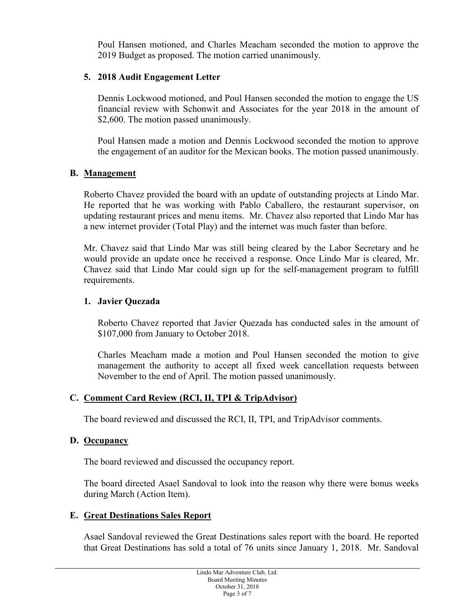Poul Hansen motioned, and Charles Meacham seconded the motion to approve the 2019 Budget as proposed. The motion carried unanimously.

## **5. 2018 Audit Engagement Letter**

Dennis Lockwood motioned, and Poul Hansen seconded the motion to engage the US financial review with Schonwit and Associates for the year 2018 in the amount of \$2,600. The motion passed unanimously.

Poul Hansen made a motion and Dennis Lockwood seconded the motion to approve the engagement of an auditor for the Mexican books. The motion passed unanimously.

### **B. Management**

Roberto Chavez provided the board with an update of outstanding projects at Lindo Mar. He reported that he was working with Pablo Caballero, the restaurant supervisor, on updating restaurant prices and menu items. Mr. Chavez also reported that Lindo Mar has a new internet provider (Total Play) and the internet was much faster than before.

Mr. Chavez said that Lindo Mar was still being cleared by the Labor Secretary and he would provide an update once he received a response. Once Lindo Mar is cleared, Mr. Chavez said that Lindo Mar could sign up for the self-management program to fulfill requirements.

### **1. Javier Quezada**

Roberto Chavez reported that Javier Quezada has conducted sales in the amount of \$107,000 from January to October 2018.

Charles Meacham made a motion and Poul Hansen seconded the motion to give management the authority to accept all fixed week cancellation requests between November to the end of April. The motion passed unanimously.

# **C. Comment Card Review (RCI, II, TPI & TripAdvisor)**

The board reviewed and discussed the RCI, II, TPI, and TripAdvisor comments.

# **D. Occupancy**

The board reviewed and discussed the occupancy report.

The board directed Asael Sandoval to look into the reason why there were bonus weeks during March (Action Item).

# **E. Great Destinations Sales Report**

Asael Sandoval reviewed the Great Destinations sales report with the board. He reported that Great Destinations has sold a total of 76 units since January 1, 2018. Mr. Sandoval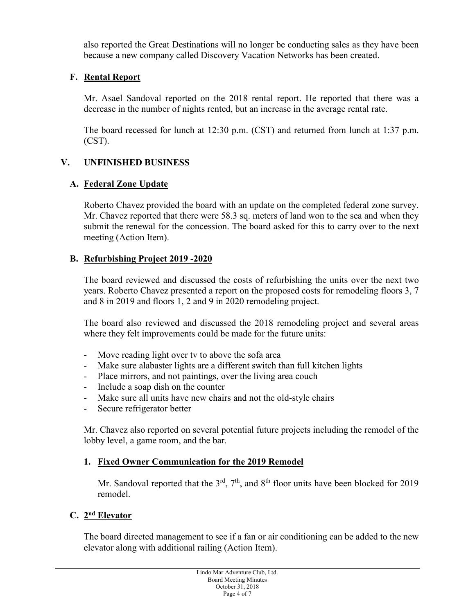also reported the Great Destinations will no longer be conducting sales as they have been because a new company called Discovery Vacation Networks has been created.

# **F. Rental Report**

Mr. Asael Sandoval reported on the 2018 rental report. He reported that there was a decrease in the number of nights rented, but an increase in the average rental rate.

The board recessed for lunch at 12:30 p.m. (CST) and returned from lunch at 1:37 p.m. (CST).

# **V. UNFINISHED BUSINESS**

# **A. Federal Zone Update**

Roberto Chavez provided the board with an update on the completed federal zone survey. Mr. Chavez reported that there were 58.3 sq. meters of land won to the sea and when they submit the renewal for the concession. The board asked for this to carry over to the next meeting (Action Item).

# **B. Refurbishing Project 2019 -2020**

The board reviewed and discussed the costs of refurbishing the units over the next two years. Roberto Chavez presented a report on the proposed costs for remodeling floors 3, 7 and 8 in 2019 and floors 1, 2 and 9 in 2020 remodeling project.

The board also reviewed and discussed the 2018 remodeling project and several areas where they felt improvements could be made for the future units:

- Move reading light over tv to above the sofa area
- Make sure alabaster lights are a different switch than full kitchen lights
- Place mirrors, and not paintings, over the living area couch
- Include a soap dish on the counter
- Make sure all units have new chairs and not the old-style chairs
- Secure refrigerator better

Mr. Chavez also reported on several potential future projects including the remodel of the lobby level, a game room, and the bar.

# **1. Fixed Owner Communication for the 2019 Remodel**

Mr. Sandoval reported that the  $3<sup>rd</sup>$ ,  $7<sup>th</sup>$ , and  $8<sup>th</sup>$  floor units have been blocked for 2019 remodel.

# **C. 2nd Elevator**

The board directed management to see if a fan or air conditioning can be added to the new elevator along with additional railing (Action Item).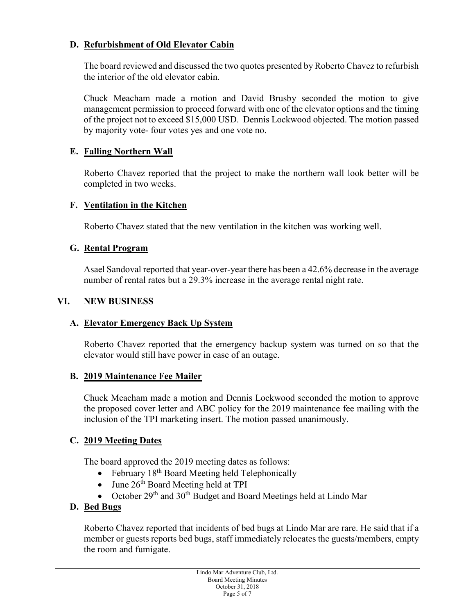# **D. Refurbishment of Old Elevator Cabin**

The board reviewed and discussed the two quotes presented by Roberto Chavez to refurbish the interior of the old elevator cabin.

Chuck Meacham made a motion and David Brusby seconded the motion to give management permission to proceed forward with one of the elevator options and the timing of the project not to exceed \$15,000 USD. Dennis Lockwood objected. The motion passed by majority vote- four votes yes and one vote no.

# **E. Falling Northern Wall**

Roberto Chavez reported that the project to make the northern wall look better will be completed in two weeks.

## **F. Ventilation in the Kitchen**

Roberto Chavez stated that the new ventilation in the kitchen was working well.

## **G. Rental Program**

Asael Sandoval reported that year-over-year there has been a 42.6% decrease in the average number of rental rates but a 29.3% increase in the average rental night rate.

## **VI. NEW BUSINESS**

# **A. Elevator Emergency Back Up System**

Roberto Chavez reported that the emergency backup system was turned on so that the elevator would still have power in case of an outage.

### **B. 2019 Maintenance Fee Mailer**

Chuck Meacham made a motion and Dennis Lockwood seconded the motion to approve the proposed cover letter and ABC policy for the 2019 maintenance fee mailing with the inclusion of the TPI marketing insert. The motion passed unanimously.

# **C. 2019 Meeting Dates**

The board approved the 2019 meeting dates as follows:

- February  $18<sup>th</sup>$  Board Meeting held Telephonically
- June  $26<sup>th</sup>$  Board Meeting held at TPI
- October  $29<sup>th</sup>$  and  $30<sup>th</sup>$  Budget and Board Meetings held at Lindo Mar

# **D. Bed Bugs**

Roberto Chavez reported that incidents of bed bugs at Lindo Mar are rare. He said that if a member or guests reports bed bugs, staff immediately relocates the guests/members, empty the room and fumigate.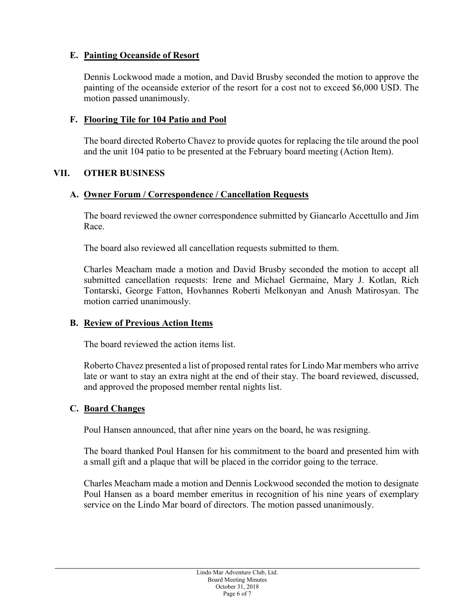# **E. Painting Oceanside of Resort**

Dennis Lockwood made a motion, and David Brusby seconded the motion to approve the painting of the oceanside exterior of the resort for a cost not to exceed \$6,000 USD. The motion passed unanimously.

## **F. Flooring Tile for 104 Patio and Pool**

The board directed Roberto Chavez to provide quotes for replacing the tile around the pool and the unit 104 patio to be presented at the February board meeting (Action Item).

## **VII. OTHER BUSINESS**

## **A. Owner Forum / Correspondence / Cancellation Requests**

The board reviewed the owner correspondence submitted by Giancarlo Accettullo and Jim Race.

The board also reviewed all cancellation requests submitted to them.

Charles Meacham made a motion and David Brusby seconded the motion to accept all submitted cancellation requests: Irene and Michael Germaine, Mary J. Kotlan, Rich Tontarski, George Fatton, Hovhannes Roberti Melkonyan and Anush Matirosyan. The motion carried unanimously.

# **B. Review of Previous Action Items**

The board reviewed the action items list.

Roberto Chavez presented a list of proposed rental rates for Lindo Mar members who arrive late or want to stay an extra night at the end of their stay. The board reviewed, discussed, and approved the proposed member rental nights list.

### **C. Board Changes**

Poul Hansen announced, that after nine years on the board, he was resigning.

The board thanked Poul Hansen for his commitment to the board and presented him with a small gift and a plaque that will be placed in the corridor going to the terrace.

Charles Meacham made a motion and Dennis Lockwood seconded the motion to designate Poul Hansen as a board member emeritus in recognition of his nine years of exemplary service on the Lindo Mar board of directors. The motion passed unanimously.